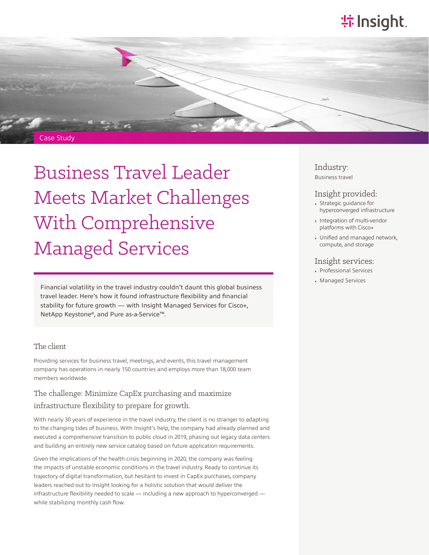# **特Insight**



# Business Travel Leader Meets Market Challenges With Comprehensive Managed Services

Financial volatility in the travel industry couldn't daunt this global business travel leader. Here's how it found infrastructure flexibility and financial stability for future growth — with Insight Managed Services for Cisco+, NetApp Keystone®, and Pure as-a-Service™.

#### The client

Providing services for business travel, meetings, and events, this travel management company has operations in nearly 150 countries and employs more than 18,000 team members worldwide.

#### The challenge: Minimize CapEx purchasing and maximize infrastructure flexibility to prepare for growth.

With nearly 30 years of experience in the travel industry, the client is no stranger to adapting to the changing tides of business. With Insight's help, the company had already planned and executed a comprehensive transition to public cloud in 2019, phasing out legacy data centers and building an entirely new service catalog based on future application requirements.

Given the implications of the health crisis beginning in 2020, the company was feeling the impacts of unstable economic conditions in the travel industry. Ready to continue its trajectory of digital transformation, but hesitant to invest in CapEx purchases, company leaders reached out to Insight looking for a holistic solution that would deliver the infrastructure flexibility needed to scale — including a new approach to hyperconverged while stabilizing monthly cash flow.

#### Industry: Business travel

- Insight provided: • Strategic guidance for hyperconverged infrastructure
- Integration of multi-vendor platforms with Cisco+
- Unified and managed network, compute, and storage

#### Insight services:

- Professional Services
- Managed Services